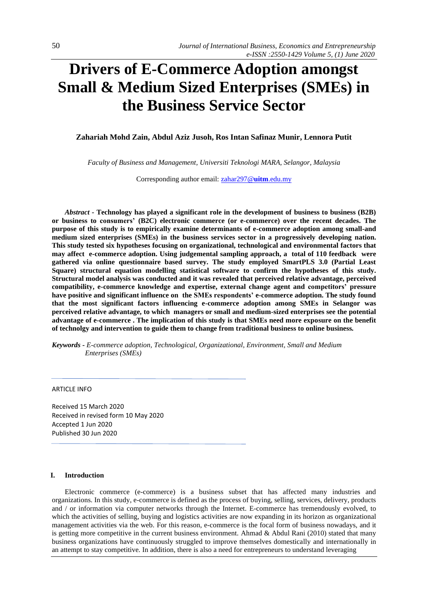# **Drivers of E-Commerce Adoption amongst Small & Medium Sized Enterprises (SMEs) in the Business Service Sector**

## **Zahariah Mohd Zain, Abdul Aziz Jusoh, Ros Intan Safinaz Munir, Lennora Putit**

*Faculty of Business and Management, Universiti Teknologi MARA, Selangor, Malaysia*

Corresponding author email[: zahar297@](mailto:zahar297@uitm.edu.my)**uitm**.edu.my

*Abstract* **- Technology has played a significant role in the development of business to business (B2B) or business to consumers' (B2C) electronic commerce (or e-commerce) over the recent decades. The purpose of this study is to empirically examine determinants of e-commerce adoption among small-and medium sized enterprises (SMEs) in the business services sector in a progressively developing nation. This study tested six hypotheses focusing on organizational, technological and environmental factors that may affect e-commerce adoption. Using judgemental sampling approach, a total of 110 feedback were gathered via online questionnaire based survey. The study employed SmartPLS 3.0 (Partial Least Square) structural equation modelling statistical software to confirm the hypotheses of this study. Structural model analysis was conducted and it was revealed that perceived relative advantage, perceived compatibility, e-commerce knowledge and expertise, external change agent and competitors' pressure have positive and significant influence on the SMEs respondents' e-commerce adoption. The study found that the most significant factors influencing e-commerce adoption among SMEs in Selangor was perceived relative advantage, to which managers or small and medium-sized enterprises see the potential advantage of e-commerce . The implication of this study is that SMEs need more exposure on the benefit of technolgy and intervention to guide them to change from traditional business to online business***.*

*Keywords - E-commerce adoption, Technological, Organizational, Environment, Small and Medium Enterprises (SMEs)*

#### ARTICLE INFO

Received 15 March 2020 Received in revised form 10 May 2020 Accepted 1 Jun 2020 Published 30 Jun 2020

#### **I. Introduction**

Electronic commerce (e-commerce) is a business subset that has affected many industries and organizations. In this study, e-commerce is defined as the process of buying, selling, services, delivery, products and / or information via computer networks through the Internet. E-commerce has tremendously evolved, to which the activities of selling, buying and logistics activities are now expanding in its horizon as organizational management activities via the web. For this reason, e-commerce is the focal form of business nowadays, and it is getting more competitive in the current business environment. Ahmad  $\&$  Abdul Rani (2010) stated that many business organizations have continuously struggled to improve themselves domestically and internationally in an attempt to stay competitive. In addition, there is also a need for entrepreneurs to understand leveraging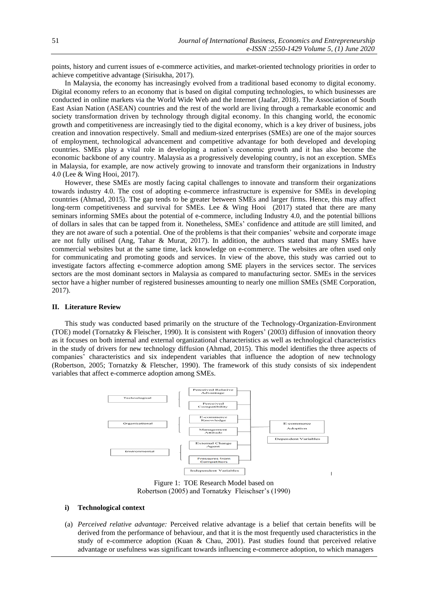points, history and current issues of e-commerce activities, and market-oriented technology priorities in order to achieve competitive advantage (Sirisukha, 2017).

In Malaysia, the economy has increasingly evolved from a traditional based economy to digital economy. Digital economy refers to an economy that is based on digital computing technologies, to which businesses are conducted in online markets via the World Wide Web and the Internet (Jaafar, 2018). The Association of South East Asian Nation (ASEAN) countries and the rest of the world are living through a remarkable economic and society transformation driven by technology through digital economy. In this changing world, the economic growth and competitiveness are increasingly tied to the digital economy, which is a key driver of business, jobs creation and innovation respectively. Small and medium-sized enterprises (SMEs) are one of the major sources of employment, technological advancement and competitive advantage for both developed and developing countries. SMEs play a vital role in developing a nation's economic growth and it has also become the economic backbone of any country. Malaysia as a progressively developing country, is not an exception. SMEs in Malaysia, for example, are now actively growing to innovate and transform their organizations in Industry 4.0 (Lee & Wing Hooi, 2017).

However, these SMEs are mostly facing capital challenges to innovate and transform their organizations towards industry 4.0. The cost of adopting e-commerce infrastructure is expensive for SMEs in developing countries (Ahmad, 2015). The gap tends to be greater between SMEs and larger firms. Hence, this may affect long-term competitiveness and survival for SMEs. Lee & Wing Hooi (2017) stated that there are many seminars informing SMEs about the potential of e-commerce, including Industry 4.0, and the potential billions of dollars in sales that can be tapped from it. Nonetheless, SMEs' confidence and attitude are still limited, and they are not aware of such a potential. One of the problems is that their companies' website and corporate image are not fully utilised (Ang, Tahar & Murat, 2017). In addition, the authors stated that many SMEs have commercial websites but at the same time, lack knowledge on e-commerce. The websites are often used only for communicating and promoting goods and services. In view of the above, this study was carried out to investigate factors affecting e-commerce adoption among SME players in the services sector. The services sectors are the most dominant sectors in Malaysia as compared to manufacturing sector. SMEs in the services sector have a higher number of registered businesses amounting to nearly one million SMEs (SME Corporation, 2017).

#### **II. Literature Review**

This study was conducted based primarily on the structure of the Technology-Organization-Environment (TOE) model (Tornatzky & Fleischer, 1990). It is consistent with Rogers' (2003) diffusion of innovation theory as it focuses on both internal and external organizational characteristics as well as technological characteristics in the study of drivers for new technology diffusion (Ahmad, 2015). This model identifies the three aspects of companies' characteristics and six independent variables that influence the adoption of new technology (Robertson, 2005; Tornatzky & Fletscher, 1990). The framework of this study consists of six independent variables that affect e-commerce adoption among SMEs.



Figure 1: TOE Research Model based on Robertson (2005) and Tornatzky Fleischser's (1990)

#### **i) Technological context**

(a) *Perceived relative advantage:* Perceived relative advantage is a belief that certain benefits will be derived from the performance of behaviour, and that it is the most frequently used characteristics in the study of e-commerce adoption (Kuan & Chau, 2001). Past studies found that perceived relative advantage or usefulness was significant towards influencing e-commerce adoption, to which managers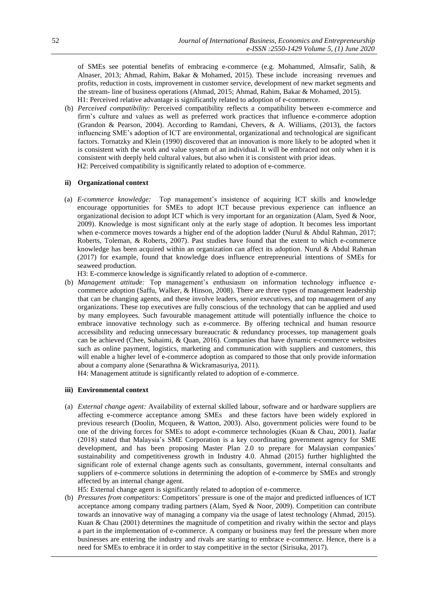of SMEs see potential benefits of embracing e-commerce (e.g. Mohammed, Almsafir, Salih, & Alnaser, 2013; Ahmad, Rahim, Bakar & Mohamed, 2015). These include increasing revenues and profits, reduction in costs, improvement in customer service, development of new market segments and the stream- line of business operations (Ahmad, 2015; Ahmad, Rahim, Bakar & Mohamed, 2015). H1: Perceived relative advantage is significantly related to adoption of e-commerce.

(b) *Perceived compatibility:* Perceived compatibility reflects a compatibility between e-commerce and firm's culture and values as well as preferred work practices that influence e-commerce adoption (Grandon & Pearson, 2004). According to Ramdani, Chevers, & A. Williams, (2013), the factors influencing SME's adoption of ICT are environmental, organizational and technological are significant factors. Tornatzky and Klein (1990) discovered that an innovation is more likely to be adopted when it is consistent with the work and value system of an individual. It will be embraced not only when it is consistent with deeply held cultural values, but also when it is consistent with prior ideas. H2: Perceived compatibility is significantly related to adoption of e-commerce.

# **ii) Organizational context**

(a) *E-commerce knowledge:* Top management's insistence of acquiring ICT skills and knowledge encourage opportunities for SMEs to adopt ICT because previous experience can influence an organizational decision to adopt ICT which is very important for an organization (Alam, Syed & Noor, 2009). Knowledge is most significant only at the early stage of adoption. It becomes less important when e-commerce moves towards a higher end of the adoption ladder (Nurul & Abdul Rahman, 2017; Roberts, Toleman, & Roberts, 2007). Past studies have found that the extent to which e-commerce knowledge has been acquired within an organization can affect its adoption. Nurul & Abdul Rahman (2017) for example, found that knowledge does influence entrepreneurial intentions of SMEs for seaweed production.

H3: E-commerce knowledge is significantly related to adoption of e-commerce.

(b) *Management attitude:* Top management's enthusiasm on information technology influence ecommerce adoption (Saffu, Walker, & Hinson, 2008). There are three types of management leadership that can be changing agents, and these involve leaders, senior executives, and top management of any organizations. These top executives are fully conscious of the technology that can be applied and used by many employees. Such favourable management attitude will potentially influence the choice to embrace innovative technology such as e-commerce. By offering technical and human resource accessibility and reducing unnecessary bureaucratic & redundancy processes, top management goals can be achieved (Chee, Suhaimi, & Quan, 2016). Companies that have dynamic e-commerce websites such as online payment, logistics, marketing and communication with suppliers and customers, this will enable a higher level of e-commerce adoption as compared to those that only provide information about a company alone (Senarathna & Wickramasuriya, 2011).

H4: Management attitude is significantly related to adoption of e-commerce.

#### **iii) Environmental context**

(a) *External change agent:* Availability of external skilled labour, software and or hardware suppliers are affecting e-commerce acceptance among SMEs and these factors have been widely explored in previous research (Doolin, Mcqueen, & Watton, 2003). Also, government policies were found to be one of the driving forces for SMEs to adopt e-commerce technologies (Kuan & Chau, 2001). Jaafar (2018) stated that Malaysia's SME Corporation is a key coordinating government agency for SME development, and has been proposing Master Plan 2.0 to prepare for Malaysian companies' sustainability and competitiveness growth in Industry 4.0. Ahmad (2015) further highlighted the significant role of external change agents such as consultants, government, internal consultants and suppliers of e-commerce solutions in determining the adoption of e-commerce by SMEs and strongly affected by an internal change agent.

H5: External change agent is significantly related to adoption of e-commerce.

(b) *Pressures from competitors:* Competitors' pressure is one of the major and predicted influences of ICT acceptance among company trading partners (Alam, Syed & Noor, 2009). Competition can contribute towards an innovative way of managing a company via the usage of latest technology (Ahmad, 2015). Kuan & Chau (2001) determines the magnitude of competition and rivalry within the sector and plays a part in the implementation of e-commerce. A company or business may feel the pressure when more businesses are entering the industry and rivals are starting to embrace e-commerce. Hence, there is a need for SMEs to embrace it in order to stay competitive in the sector (Sirisuka, 2017).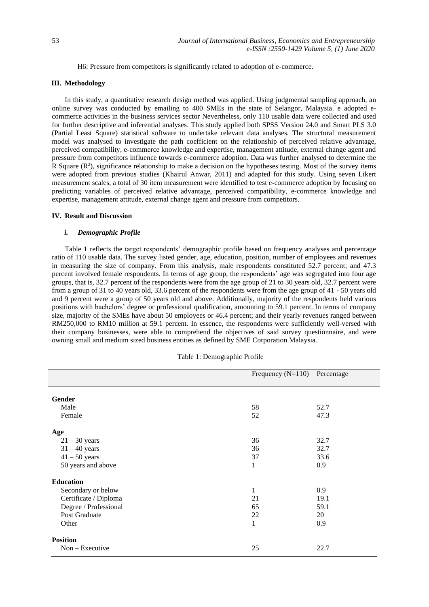H6: Pressure from competitors is significantly related to adoption of e-commerce.

# **III. Methodology**

In this study, a quantitative research design method was applied. Using judgmental sampling approach, an online survey was conducted by emailing to 400 SMEs in the state of Selangor, Malaysia. e adopted ecommerce activities in the business services sector Nevertheless, only 110 usable data were collected and used for further descriptive and inferential analyses. This study applied both SPSS Version 24.0 and Smart PLS 3.0 (Partial Least Square) statistical software to undertake relevant data analyses. The structural measurement model was analysed to investigate the path coefficient on the relationship of perceived relative advantage, perceived compatibility, e-commerce knowledge and expertise, management attitude, external change agent and pressure from competitors influence towards e-commerce adoption. Data was further analysed to determine the R Square  $(R^2)$ , significance relationship to make a decision on the hypotheses testing. Most of the survey items were adopted from previous studies (Khairul Anwar, 2011) and adapted for this study. Using seven Likert measurement scales, a total of 30 item measurement were identified to test e-commerce adoption by focusing on predicting variables of perceived relative advantage, perceived compatibility, e-commerce knowledge and expertise, management attitude, external change agent and pressure from competitors.

### **IV. Result and Discussion**

# *i. Demographic Profile*

Table 1 reflects the target respondents' demographic profile based on frequency analyses and percentage ratio of 110 usable data. The survey listed gender, age, education, position, number of employees and revenues in measuring the size of company. From this analysis, male respondents constituted 52.7 percent; and 47.3 percent involved female respondents. In terms of age group, the respondents' age was segregated into four age groups, that is, 32.7 percent of the respondents were from the age group of 21 to 30 years old, 32.7 percent were from a group of 31 to 40 years old, 33.6 percent of the respondents were from the age group of 41 - 50 years old and 9 percent were a group of 50 years old and above. Additionally, majority of the respondents held various positions with bachelors' degree or professional qualification, amounting to 59.1 percent. In terms of company size, majority of the SMEs have about 50 employees or 46.4 percent; and their yearly revenues ranged between RM250,000 to RM10 million at 59.1 percent. In essence, the respondents were sufficiently well-versed with their company businesses, were able to comprehend the objectives of said survey questionnaire, and were owning small and medium sized business entities as defined by SME Corporation Malaysia.

|                       | Frequency $(N=110)$ Percentage |      |
|-----------------------|--------------------------------|------|
| <b>Gender</b>         |                                |      |
| Male                  | 58                             | 52.7 |
| Female                | 52                             | 47.3 |
| Age                   |                                |      |
| $21 - 30$ years       | 36                             | 32.7 |
| $31 - 40$ years       | 36                             | 32.7 |
| $41 - 50$ years       | 37                             | 33.6 |
| 50 years and above    | $\mathbf{1}$                   | 0.9  |
| <b>Education</b>      |                                |      |
| Secondary or below    | $\mathbf{1}$                   | 0.9  |
| Certificate / Diploma | 21                             | 19.1 |
| Degree / Professional | 65                             | 59.1 |
| Post Graduate         | 22                             | 20   |
| Other                 | $\mathbf{1}$                   | 0.9  |
| <b>Position</b>       |                                |      |
| $Non - Executive$     | 25                             | 22.7 |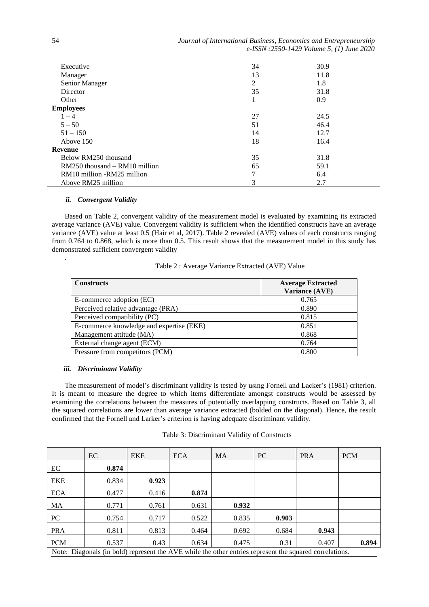| Executive                         | 34 | 30.9 |  |
|-----------------------------------|----|------|--|
| Manager                           | 13 | 11.8 |  |
| Senior Manager                    | 2  | 1.8  |  |
| Director                          | 35 | 31.8 |  |
| Other                             | T. | 0.9  |  |
| <b>Employees</b>                  |    |      |  |
| $1 - 4$                           | 27 | 24.5 |  |
| $5 - 50$                          | 51 | 46.4 |  |
| $51 - 150$                        | 14 | 12.7 |  |
| Above 150                         | 18 | 16.4 |  |
| Revenue                           |    |      |  |
| Below RM250 thousand              | 35 | 31.8 |  |
| $RM250$ thousand $- RM10$ million | 65 | 59.1 |  |
| RM10 million -RM25 million        | 7  | 6.4  |  |
| Above RM25 million                | 3  | 2.7  |  |

#### *ii. Convergent Validity*

.

Based on Table 2, convergent validity of the measurement model is evaluated by examining its extracted average variance (AVE) value. Convergent validity is sufficient when the identified constructs have an average variance (AVE) value at least 0.5 (Hair et al, 2017). Table 2 revealed (AVE) values of each constructs ranging from 0.764 to 0.868, which is more than 0.5. This result shows that the measurement model in this study has demonstrated sufficient convergent validity

| Table 2 : Average Variance Extracted (AVE) Value |  |  |  |
|--------------------------------------------------|--|--|--|
|--------------------------------------------------|--|--|--|

| <b>Constructs</b>                        | <b>Average Extracted</b><br>Variance (AVE) |
|------------------------------------------|--------------------------------------------|
| E-commerce adoption (EC)                 | 0.765                                      |
| Perceived relative advantage (PRA)       | 0.890                                      |
| Perceived compatibility (PC)             | 0.815                                      |
| E-commerce knowledge and expertise (EKE) | 0.851                                      |
| Management attitude (MA)                 | 0.868                                      |
| External change agent (ECM)              | 0.764                                      |
| Pressure from competitors (PCM)          | 0.800                                      |

# *iii. Discriminant Validity*

The measurement of model's discriminant validity is tested by using Fornell and Lacker's (1981) criterion. It is meant to measure the degree to which items differentiate amongst constructs would be assessed by examining the correlations between the measures of potentially overlapping constructs. Based on Table 3, all the squared correlations are lower than average variance extracted (bolded on the diagonal). Hence, the result confirmed that the Fornell and Larker's criterion is having adequate discriminant validity.

|                                                                                                         | EC    | <b>EKE</b> | <b>ECA</b> | <b>MA</b> | PC    | <b>PRA</b> | <b>PCM</b> |
|---------------------------------------------------------------------------------------------------------|-------|------------|------------|-----------|-------|------------|------------|
| EC                                                                                                      | 0.874 |            |            |           |       |            |            |
| <b>EKE</b>                                                                                              | 0.834 | 0.923      |            |           |       |            |            |
| <b>ECA</b>                                                                                              | 0.477 | 0.416      | 0.874      |           |       |            |            |
| MA                                                                                                      | 0.771 | 0.761      | 0.631      | 0.932     |       |            |            |
| PC                                                                                                      | 0.754 | 0.717      | 0.522      | 0.835     | 0.903 |            |            |
| <b>PRA</b>                                                                                              | 0.811 | 0.813      | 0.464      | 0.692     | 0.684 | 0.943      |            |
| <b>PCM</b>                                                                                              | 0.537 | 0.43       | 0.634      | 0.475     | 0.31  | 0.407      | 0.894      |
| Note: Diagonals (in bold) represent the AVE while the other entries represent the squared correlations. |       |            |            |           |       |            |            |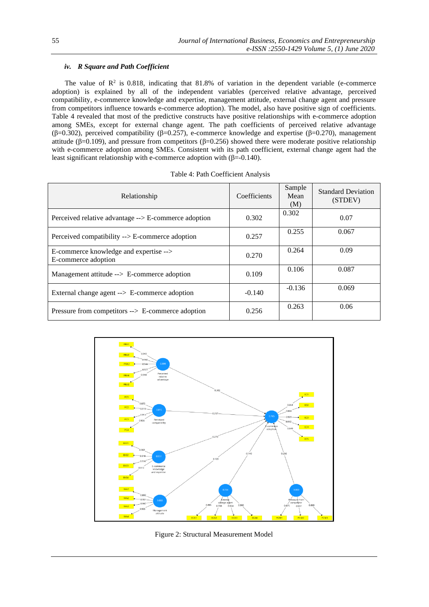# *iv. R Square and Path Coefficient*

The value of  $\mathbb{R}^2$  is 0.818, indicating that 81.8% of variation in the dependent variable (e-commerce adoption) is explained by all of the independent variables (perceived relative advantage, perceived compatibility, e-commerce knowledge and expertise, management attitude, external change agent and pressure from competitors influence towards e-commerce adoption). The model, also have positive sign of coefficients. Table 4 revealed that most of the predictive constructs have positive relationships with e-commerce adoption among SMEs, except for external change agent. The path coefficients of perceived relative advantage (β=0.302), perceived compatibility (β=0.257), e-commerce knowledge and expertise (β=0.270), management attitude (β=0.109), and pressure from competitors (β=0.256) showed there were moderate positive relationship with e-commerce adoption among SMEs. Consistent with its path coefficient, external change agent had the least significant relationship with e-commerce adoption with  $(β=-0.140)$ .

| Relationship                                                  | Coefficients | Sample<br>Mean<br>(M) | <b>Standard Deviation</b><br>(STDEV) |
|---------------------------------------------------------------|--------------|-----------------------|--------------------------------------|
| Perceived relative advantage --> E-commerce adoption          | 0.302        | 0.302                 | 0.07                                 |
| Perceived compatibility $\rightarrow$ E-commerce adoption     | 0.257        | 0.255                 | 0.067                                |
| E-commerce knowledge and expertise --><br>E-commerce adoption | 0.270        | 0.264                 | 0.09                                 |
| Management attitude --> E-commerce adoption                   | 0.109        | 0.106                 | 0.087                                |
| External change agent $\rightarrow$ E-commerce adoption       | $-0.140$     | $-0.136$              | 0.069                                |
| Pressure from competitors --> E-commerce adoption             | 0.256        | 0.263                 | 0.06                                 |



Figure 2: Structural Measurement Model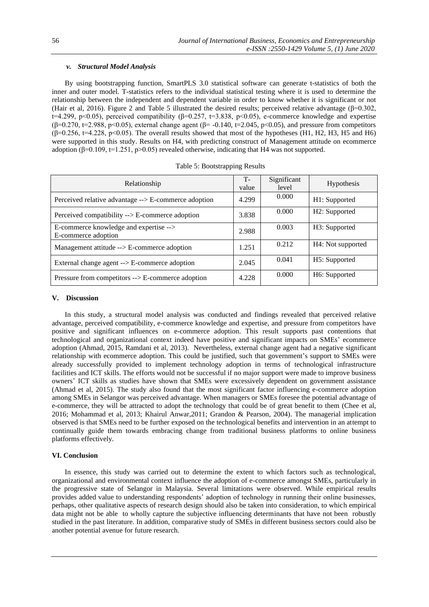# *v. Structural Model Analysis*

By using bootstrapping function, SmartPLS 3.0 statistical software can generate t-statistics of both the inner and outer model. T-statistics refers to the individual statistical testing where it is used to determine the relationship between the independent and dependent variable in order to know whether it is significant or not (Hair et al, 2016). Figure 2 and Table 5 illustrated the desired results; perceived relative advantage ( $\beta$ =0.302, t=4.299, p<0.05), perceived compatibility ( $\beta$ =0.257, t=3.838, p<0.05), e-commerce knowledge and expertise (β=0.270, t=2.988, p<0.05), external change agent (β= -0.140, t=2.045, p<0.05), and pressure from competitors  $(β=0.256, t=4.228, p<0.05)$ . The overall results showed that most of the hypotheses (H1, H2, H3, H5 and H6) were supported in this study. Results on H4, with predicting construct of Management attitude on ecommerce adoption ( $\beta$ =0.109, t=1.251, p>0.05) revealed otherwise, indicating that H4 was not supported.

| Relationship                                                  | $T -$<br>value | Significant<br>level | <b>Hypothesis</b> |
|---------------------------------------------------------------|----------------|----------------------|-------------------|
| Perceived relative advantage --> E-commerce adoption          | 4.299          | 0.000                | H1: Supported     |
| Perceived compatibility $\rightarrow$ E-commerce adoption     | 3.838          | 0.000                | H2: Supported     |
| E-commerce knowledge and expertise --><br>E-commerce adoption | 2.988          | 0.003                | H3: Supported     |
| Management attitude --> E-commerce adoption                   | 1.251          | 0.212                | H4: Not supported |
| External change agent --> E-commerce adoption                 | 2.045          | 0.041                | H5: Supported     |
| Pressure from competitors --> E-commerce adoption             | 4.228          | 0.000                | H6: Supported     |

|  | Table 5: Bootstrapping Results |  |
|--|--------------------------------|--|
|--|--------------------------------|--|

# **V. Discussion**

In this study, a structural model analysis was conducted and findings revealed that perceived relative advantage, perceived compatibility, e-commerce knowledge and expertise, and pressure from competitors have positive and significant influences on e-commerce adoption. This result supports past contentions that technological and organizational context indeed have positive and significant impacts on SMEs' ecommerce adoption (Ahmad, 2015, Ramdani et al, 2013). Nevertheless, external change agent had a negative significant relationship with ecommerce adoption. This could be justified, such that government's support to SMEs were already successfully provided to implement technology adoption in terms of technological infrastructure facilities and ICT skills. The efforts would not be successful if no major support were made to improve business owners' ICT skills as studies have shown that SMEs were excessively dependent on government assistance (Ahmad et al, 2015). The study also found that the most significant factor influencing e-commerce adoption among SMEs in Selangor was perceived advantage. When managers or SMEs foresee the potential advantage of e-commerce, they will be attracted to adopt the technology that could be of great benefit to them (Chee et al, 2016; Mohammad et al, 2013; Khairul Anwar,2011; Grandon & Pearson, 2004). The managerial implication observed is that SMEs need to be further exposed on the technological benefits and intervention in an attempt to continually guide them towards embracing change from traditional business platforms to online business platforms effectively*.*

# **VI. Conclusion**

In essence, this study was carried out to determine the extent to which factors such as technological, organizational and environmental context influence the adoption of e-commerce amongst SMEs, particularly in the progressive state of Selangor in Malaysia. Several limitations were observed. While empirical results provides added value to understanding respondents' adoption of technology in running their online businesses, perhaps, other qualitative aspects of research design should also be taken into consideration, to which empirical data might not be able to wholly capture the subjective influencing determinants that have not been robustly studied in the past literature. In addition, comparative study of SMEs in different business sectors could also be another potential avenue for future research.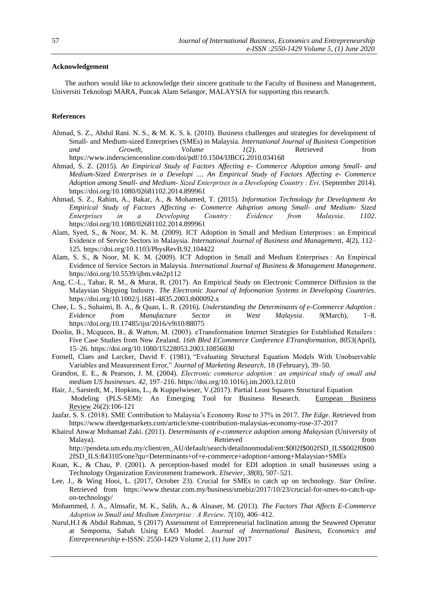# **Acknowledgement**

The authors would like to acknowledge their sincere gratitude to the Faculty of Business and Management, Universiti Teknologi MARA, Puncak Alam Selangor, MALAYSIA for supporting this research.

#### **References**

- Ahmad, S. Z., Abdul Rani. N. S., & M. K. S. k. (2010). Business challenges and strategies for development of Small- and Medium-sized Enterprises (SMEs) in Malaysia. *International Journal of Business Competition and Growth*, *Volume 1*(2). Retrieved from https://www.inderscienceonline.com/doi/pdf/10.1504/IJBCG.2010.034168
- Ahmad, S. Z. (2015). *An Empirical Study of Factors Affecting e- Commerce Adoption among Small- and Medium-Sized Enterprises in a Developi .... An Empirical Study of Factors Affecting e- Commerce Adoption among Small- and Medium- Sized Enterprises in a Developing Country : Evi*. (September 2014). https://doi.org/10.1080/02681102.2014.899961
- Ahmad, S. Z., Rahim, A., Bakar, A., & Mohamed, T. (2015). *Information Technology for Development An Empirical Study of Factors Affecting e- Commerce Adoption among Small- and Medium- Sized Enterprises in a Developing Country : Evidence from Malaysia*. *1102*. https://doi.org/10.1080/02681102.2014.899961
- Alam, Syed, S., & Noor, M. K. M. (2009). ICT Adoption in Small and Medium Enterprises : an Empirical Evidence of Service Sectors in Malaysia. *International Journal of Business and Management*, *4*(2), 112– 125. https://doi.org/10.1103/PhysRevB.92.104422
- Alam, S. S., & Noor, M. K. M. (2009). ICT Adoption in Small and Medium Enterprises : An Empirical Evidence of Service Sectors in Malaysia. *International Journal of Business & Management Management*. https://doi.org/10.5539/ijbm.v4n2p112
- Ang, C.-L., Tahar, R. M., & Murat, R. (2017). An Empirical Study on Electronic Commerce Diffusion in the Malaysian Shipping Industry. *The Electronic Journal of Information Systems in Developing Countries*. https://doi.org/10.1002/j.1681-4835.2003.tb00092.x
- Chee, L. S., Suhaimi, B. A., & Quan, L. R. (2016). *Understanding the Determinants of e-Commerce Adoption : Evidence from Manufacture Sector in West Malaysia*. *9*(March), 1–8. https://doi.org/10.17485/ijst/2016/v9i10/88075
- Doolin, B., Mcqueen, B., & Watton, M. (2003). eTransformation Internet Strategies for Established Retailers : Five Case Studies from New Zealand. *16th Bled ECommerce Conference ETransformation*, *8053*(April), 15–26. https://doi.org/10.1080/15228053.2003.10856030
- Fornell, Claes and Larcker, David F. (1981), "Evaluating Structural Equation Models With Unobservable Variables and Measurement Error," *Journal of Marketing Research*, 18 (February), 39–50.
- Grandon, E. E., & Pearson, J. M. (2004). *Electronic commerce adoption : an empirical study of small and medium US businesses*. *42*, 197–216. https://doi.org/10.1016/j.im.2003.12.010
- Hair, J., Sarstedt, M., Hopkins, L., & Kuppelwieser, V.(2017). Partial Least Squares Structural Equation Modeling (PLS-SEM): An Emerging Tool for Business Research. [European Business](https://www.researchgate.net/journal/0955-534X_European_Business_Review)  [Review](https://www.researchgate.net/journal/0955-534X_European_Business_Review) 26(2):106-121
- Jaafar, S. S. (2018). SME Contribution to Malaysia's Economy Rose to 37% in 2017. *The Edge*. Retrieved from https://www.theedgemarkets.com/article/sme-contribution-malaysias-economy-rose-37-2017
- Khairul Anwar Mohamad Zaki. (2011). *Determinants of e-commerce adoption among Malaysian* (University of Malaya). Retrieved from http://pendeta.um.edu.my/client/en\_AU/default/search/detailnonmodal/ent:\$002f\$002fSD\_ILS\$002f0\$00

2fSD\_ILS:843105/one?qu=Determinants+of+e-commerce+adoption+among+Malaysian+SMEs

- Kuan, K., & Chau, P. (2001). A perception-based model for EDI adoption in small businesses using a Technology Organization Environment framework. *Elsevier*, *38*(8), 507–521.
- Lee, J., & Wing Hooi, L. (2017, October 23). Crucial for SMEs to catch up on technology. *Star Online*. Retrieved from https://www.thestar.com.my/business/smebiz/2017/10/23/crucial-for-smes-to-catch-upon-technology/
- Mohammed, J. A., Almsafir, M. K., Salih, A., & Alnaser, M. (2013). *The Factors That Affects E-Commerce Adoption in Small and Medium Enterprise : A Review*. *7*(10), 406–412.
- Nurul,H.I & Abdul Rahman, S (2017) Assessment of Entrepreneurial Inclination among the Seaweed Operator at Semporna, Sabah Using EAO Model. *Journal of International Business, Economics and Entrepreneurship* e-ISSN: 2550-1429 Volume 2, (1) June 2017